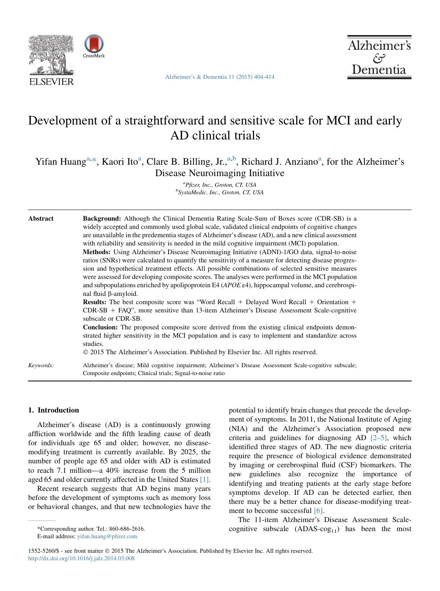

[Alzheimer's & Dementia 11 \(2015\) 404-414](http://dx.doi.org/10.1016/j.jalz.2014.03.008)



# Development of a straightforward and sensitive scale for MCI and early AD clinical trials

Yifan Huang<sup>a,\*</sup>, Kaori Ito<sup>a</sup>, Clare B. Billing, Jr.,<sup>a,b</sup>, Richard J. Anziano<sup>a</sup>, for the Alzheimer's Disease Neuroimaging Initiative

> <sup>a</sup> Pfizer, Inc., Groton, CT, USA<br><sup>b</sup>SysteMedia Inc. Crotor, CT, U SystaMedic, Inc., Groton, CT, USA

| Abstract  | <b>Background:</b> Although the Clinical Dementia Rating Scale-Sum of Boxes score (CDR-SB) is a<br>widely accepted and commonly used global scale, validated clinical endpoints of cognitive changes<br>are unavailable in the predementia stages of Alzheimer's disease (AD), and a new clinical assessment<br>with reliability and sensitivity is needed in the mild cognitive impairment (MCI) population.<br><b>Methods:</b> Using Alzheimer's Disease Neuroimaging Initiative (ADNI)-1/GO data, signal-to-noise<br>ratios (SNRs) were calculated to quantify the sensitivity of a measure for detecting disease progres-<br>sion and hypothetical treatment effects. All possible combinations of selected sensitive measures<br>were assessed for developing composite scores. The analyses were performed in the MCI population<br>and subpopulations enriched by apolipoprotein E4 ( $APOE \epsilon 4$ ), hippocampal volume, and cerebrospi-<br>nal fluid β-amyloid.<br><b>Results:</b> The best composite score was "Word Recall + Delayed Word Recall + Orientation +<br>$CDR-SB + FAQ$ ", more sensitive than 13-item Alzheimer's Disease Assessment Scale-cognitive |  |
|-----------|----------------------------------------------------------------------------------------------------------------------------------------------------------------------------------------------------------------------------------------------------------------------------------------------------------------------------------------------------------------------------------------------------------------------------------------------------------------------------------------------------------------------------------------------------------------------------------------------------------------------------------------------------------------------------------------------------------------------------------------------------------------------------------------------------------------------------------------------------------------------------------------------------------------------------------------------------------------------------------------------------------------------------------------------------------------------------------------------------------------------------------------------------------------------------------|--|
|           | subscale or CDR-SB.<br><b>Conclusion:</b> The proposed composite score derived from the existing clinical endpoints demon-<br>strated higher sensitivity in the MCI population and is easy to implement and standardize across<br>studies.<br>© 2015 The Alzheimer's Association. Published by Elsevier Inc. All rights reserved.                                                                                                                                                                                                                                                                                                                                                                                                                                                                                                                                                                                                                                                                                                                                                                                                                                                |  |
| Keywords: | Alzheimer's disease; Mild cognitive impairment; Alzheimer's Disease Assessment Scale-cognitive subscale;<br>Composite endpoints; Clinical trials; Signal-to-noise ratio                                                                                                                                                                                                                                                                                                                                                                                                                                                                                                                                                                                                                                                                                                                                                                                                                                                                                                                                                                                                          |  |

# 1. Introduction

Alzheimer's disease (AD) is a continuously growing affliction worldwide and the fifth leading cause of death for individuals age 65 and older; however, no diseasemodifying treatment is currently available. By 2025, the number of people age 65 and older with AD is estimated to reach 7.1 million—a 40% increase from the 5 million aged 65 and older currently affected in the United States [\[1\].](#page-9-0)

Recent research suggests that AD begins many years before the development of symptoms such as memory loss or behavioral changes, and that new technologies have the

E-mail address: [yifan.huang@pfizer.com](mailto:yifan.huang@pfizer.com)

potential to identify brain changes that precede the development of symptoms. In 2011, the National Institute of Aging (NIA) and the Alzheimer's Association proposed new criteria and guidelines for diagnosing AD  $[2-5]$ , which identified three stages of AD. The new diagnostic criteria require the presence of biological evidence demonstrated by imaging or cerebrospinal fluid (CSF) biomarkers. The new guidelines also recognize the importance of identifying and treating patients at the early stage before symptoms develop. If AD can be detected earlier, then there may be a better chance for disease-modifying treatment to become successful [\[6\].](#page-9-0)

The 11-item Alzheimer's Disease Assessment Scale- \*Corresponding author. Tel.: 860-686-2616. cognitive subscale (ADAS-cog<sub>11</sub>) has been the most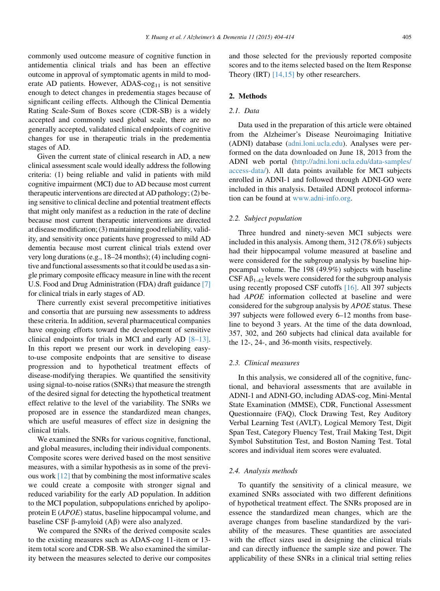commonly used outcome measure of cognitive function in antidementia clinical trials and has been an effective outcome in approval of symptomatic agents in mild to moderate AD patients. However, ADAS- $\cos_{11}$  is not sensitive enough to detect changes in predementia stages because of significant ceiling effects. Although the Clinical Dementia Rating Scale-Sum of Boxes score (CDR-SB) is a widely accepted and commonly used global scale, there are no generally accepted, validated clinical endpoints of cognitive changes for use in therapeutic trials in the predementia stages of AD.

Given the current state of clinical research in AD, a new clinical assessment scale would ideally address the following criteria: (1) being reliable and valid in patients with mild cognitive impairment (MCI) due to AD because most current therapeutic interventions are directed at AD pathology; (2) being sensitive to clinical decline and potential treatment effects that might only manifest as a reduction in the rate of decline because most current therapeutic interventions are directed at disease modification; (3) maintaining good reliability, validity, and sensitivity once patients have progressed to mild AD dementia because most current clinical trials extend over very long durations (e.g., 18–24 months); (4) including cognitive and functional assessments so that it could be used as a single primary composite efficacy measure in line with the recent U.S. Food and Drug Administration (FDA) draft guidance [\[7\]](#page-9-0) for clinical trials in early stages of AD.

There currently exist several precompetitive initiatives and consortia that are pursuing new assessments to address these criteria. In addition, several pharmaceutical companies have ongoing efforts toward the development of sensitive clinical endpoints for trials in MCI and early AD [\[8–13\].](#page-10-0) In this report we present our work in developing easyto-use composite endpoints that are sensitive to disease progression and to hypothetical treatment effects of disease-modifying therapies. We quantified the sensitivity using signal-to-noise ratios (SNRs) that measure the strength of the desired signal for detecting the hypothetical treatment effect relative to the level of the variability. The SNRs we proposed are in essence the standardized mean changes, which are useful measures of effect size in designing the clinical trials.

We examined the SNRs for various cognitive, functional, and global measures, including their individual components. Composite scores were derived based on the most sensitive measures, with a similar hypothesis as in some of the previous work [\[12\]](#page-10-0) that by combining the most informative scales we could create a composite with stronger signal and reduced variability for the early AD population. In addition to the MCI population, subpopulations enriched by apolipoprotein E (APOE) status, baseline hippocampal volume, and baseline CSF  $\beta$ -amyloid (A $\beta$ ) were also analyzed.

We compared the SNRs of the derived composite scales to the existing measures such as ADAS-cog 11-item or 13 item total score and CDR-SB. We also examined the similarity between the measures selected to derive our composites and those selected for the previously reported composite scores and to the items selected based on the Item Response Theory (IRT)  $[14,15]$  by other researchers.

#### 2. Methods

## 2.1. Data

Data used in the preparation of this article were obtained from the Alzheimer's Disease Neuroimaging Initiative (ADNI) database [\(adni.loni.ucla.edu\)](http://adni.loni.ucla.edu). Analyses were performed on the data downloaded on June 18, 2013 from the ADNI web portal ([http://adni.loni.ucla.edu/data-samples/](http://adni.loni.ucla.edu/data-samples/access-data/) [access-data/](http://adni.loni.ucla.edu/data-samples/access-data/)). All data points available for MCI subjects enrolled in ADNI-1 and followed through ADNI-GO were included in this analysis. Detailed ADNI protocol information can be found at [www.adni-info.org](http://www.adni-info.org).

## 2.2. Subject population

Three hundred and ninety-seven MCI subjects were included in this analysis. Among them, 312 (78.6%) subjects had their hippocampal volume measured at baseline and were considered for the subgroup analysis by baseline hippocampal volume. The 198 (49.9%) subjects with baseline  $CSF A\beta_{1-42}$  levels were considered for the subgroup analysis using recently proposed CSF cutoffs [\[16\]](#page-10-0). All 397 subjects had APOE information collected at baseline and were considered for the subgroup analysis by APOE status. These 397 subjects were followed every 6–12 months from baseline to beyond 3 years. At the time of the data download, 357, 302, and 260 subjects had clinical data available for the 12-, 24-, and 36-month visits, respectively.

# 2.3. Clinical measures

In this analysis, we considered all of the cognitive, functional, and behavioral assessments that are available in ADNI-1 and ADNI-GO, including ADAS-cog, Mini-Mental State Examination (MMSE), CDR, Functional Assessment Questionnaire (FAQ), Clock Drawing Test, Rey Auditory Verbal Learning Test (AVLT), Logical Memory Test, Digit Span Test, Category Fluency Test, Trail Making Test, Digit Symbol Substitution Test, and Boston Naming Test. Total scores and individual item scores were evaluated.

#### 2.4. Analysis methods

To quantify the sensitivity of a clinical measure, we examined SNRs associated with two different definitions of hypothetical treatment effect. The SNRs proposed are in essence the standardized mean changes, which are the average changes from baseline standardized by the variability of the measures. These quantities are associated with the effect sizes used in designing the clinical trials and can directly influence the sample size and power. The applicability of these SNRs in a clinical trial setting relies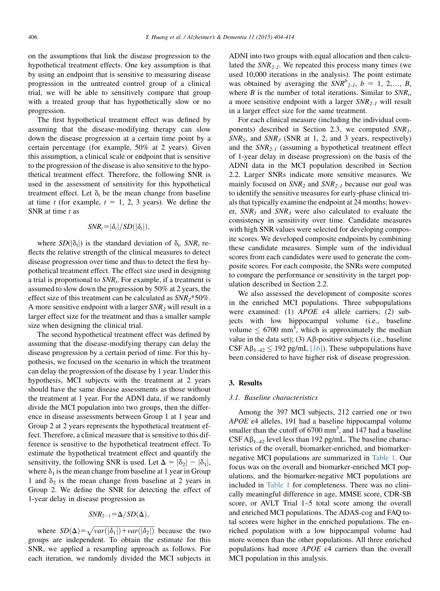on the assumptions that link the disease progression to the hypothetical treatment effects. One key assumption is that by using an endpoint that is sensitive to measuring disease progression in the untreated control group of a clinical trial, we will be able to sensitively compare that group with a treated group that has hypothetically slow or no progression.

The first hypothetical treatment effect was defined by assuming that the disease-modifying therapy can slow down the disease progression at a certain time point by a certain percentage (for example, 50% at 2 years). Given this assumption, a clinical scale or endpoint that is sensitive to the progression of the disease is also sensitive to the hypothetical treatment effect. Therefore, the following SNR is used in the assessment of sensitivity for this hypothetical treatment effect. Let  $\delta_t$  be the mean change from baseline at time t (for example,  $t = 1, 2, 3$  years). We define the SNR at time  $t$  as

$$
SNR_t = |\delta_t|/SD(|\delta_t|),
$$

where  $SD(|\delta_t|)$  is the standard deviation of  $\delta_t$ .  $SNR_t$  reflects the relative strength of the clinical measures to detect disease progression over time and thus to detect the first hypothetical treatment effect. The effect size used in designing a trial is proportional to  $SNR_t$ . For example, if a treatment is assumed to slow down the progression by 50% at 2 years, the effect size of this treatment can be calculated as  $SNR_2$ \*50%. A more sensitive endpoint with a larger  $SNR<sub>2</sub>$  will result in a larger effect size for the treatment and thus a smaller sample size when designing the clinical trial.

The second hypothetical treatment effect was defined by assuming that the disease-modifying therapy can delay the disease progression by a certain period of time. For this hypothesis, we focused on the scenario in which the treatment can delay the progression of the disease by 1 year. Under this hypothesis, MCI subjects with the treatment at 2 years should have the same disease assessments as those without the treatment at 1 year. For the ADNI data, if we randomly divide the MCI population into two groups, then the difference in disease assessments between Group 1 at 1 year and Group 2 at 2 years represents the hypothetical treatment effect. Therefore, a clinical measure that is sensitive to this difference is sensitive to the hypothetical treatment effect. To estimate the hypothetical treatment effect and quantify the sensitivity, the following SNR is used. Let  $\Delta = |\delta_2| - |\delta_1|$ , where  $\delta_1$  is the mean change from baseline at 1 year in Group 1 and  $\delta_2$  is the mean change from baseline at 2 years in Group 2. We define the SNR for detecting the effect of 1-year delay in disease progression as

$$
\mathit{SNR}_{2-1} \! = \! \Delta/\mathit{SD}(\Delta),
$$

where  $SD(\Delta) = \sqrt{var(|\delta_1|) + var(|\delta_2|)}$  because the two groups are independent. To obtain the estimate for this SNR, we applied a resampling approach as follows. For each iteration, we randomly divided the MCI subjects in ADNI into two groups with equal allocation and then calculated the  $SNR_{2-1}$ . We repeated this process many times (we used 10,000 iterations in the analysis). The point estimate was obtained by averaging the  $SNR^b_{2-l}$ ,  $b = 1, 2,..., B$ , where  $B$  is the number of total iterations. Similar to  $SNR<sub>t</sub>$ , a more sensitive endpoint with a larger  $SNR_{2-1}$  will result in a larger effect size for the same treatment.

For each clinical measure (including the individual components) described in Section 2.3, we computed  $SNR_1$ ,  $SNR_2$ , and  $SNR_3$  (SNR at 1, 2, and 3 years, respectively) and the  $SNR_{2-1}$  (assuming a hypothetical treatment effect of 1-year delay in disease progression) on the basis of the ADNI data in the MCI population described in Section 2.2. Larger SNRs indicate more sensitive measures. We mainly focused on  $SNR_2$  and  $SNR_{2-1}$  because our goal was to identify the sensitive measures for early-phase clinical trials that typically examine the endpoint at 24 months; however,  $SNR_1$  and  $SNR_3$  were also calculated to evaluate the consistency in sensitivity over time. Candidate measures with high SNR values were selected for developing composite scores. We developed composite endpoints by combining these candidate measures. Simple sum of the individual scores from each candidates were used to generate the composite scores. For each composite, the SNRs were computed to compare the performance or sensitivity in the target population described in Section 2.2.

We also assessed the development of composite scores in the enriched MCI populations. Three subpopulations were examined: (1)  $APOE$   $\varepsilon$ 4 allele carriers; (2) subjects with low hippocampal volume (i.e., baseline volume  $\leq 6700$  mm<sup>3</sup>, which is approximately the median value in the data set); (3)  $\mathsf{A}\beta$ -positive subjects (i.e., baseline CSF A $\beta_{1-42} \le 192$  pg/mL [\[16\]\)](#page-10-0). These subpopulations have been considered to have higher risk of disease progression.

## 3. Results

## 3.1. Baseline characteristics

Among the 397 MCI subjects, 212 carried one or two APOE ε4 alleles, 191 had a baseline hippocampal volume smaller than the cutoff of  $6700$  mm<sup>3</sup>, and  $147$  had a baseline  $CSF A\beta_{1-42}$  level less than 192 pg/mL. The baseline characteristics of the overall, biomarker-enriched, and biomarkernegative MCI populations are summarized in [Table 1.](#page-3-0) Our focus was on the overall and biomarker-enriched MCI populations, and the biomarker-negative MCI populations are included in [Table 1](#page-3-0) for completeness. There was no clinically meaningful difference in age, MMSE score, CDR-SB score, or AVLT Trial 1–5 total score among the overall and enriched MCI populations. The ADAS-cog and FAQ total scores were higher in the enriched populations. The enriched population with a low hippocampal volume had more women than the other populations. All three enriched populations had more APOE ε4 carriers than the overall MCI population in this analysis.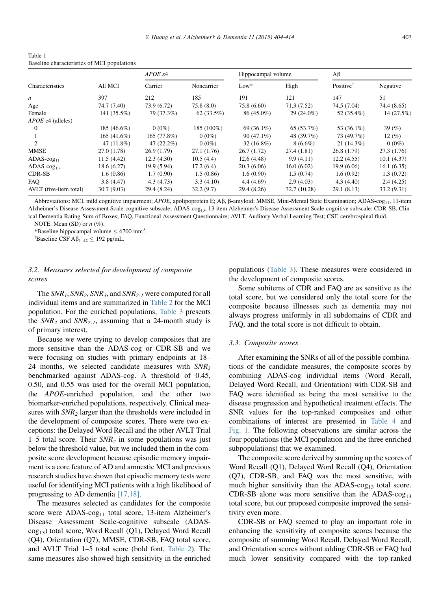<span id="page-3-0"></span>

| Table 1                                     |  |
|---------------------------------------------|--|
| Baseline characteristics of MCI populations |  |

|                                  |               | $APOE$ $\varepsilon4$ |             | Hippocampal volume |              | $A\beta$              |             |  |
|----------------------------------|---------------|-----------------------|-------------|--------------------|--------------|-----------------------|-------------|--|
| Characteristics                  | All MCI       | Carrier               | Noncarrier  | $Low*$             | High         | Positive <sup>1</sup> | Negative    |  |
| n                                | 397           | 212                   | 185         | 191                | 121          | 147                   | 51          |  |
| Age                              | 74.7 (7.40)   | 73.9 (6.72)           | 75.8(8.0)   | 75.8 (6.60)        | 71.3(7.52)   | 74.5 (7.04)           | 74.4 (8.65) |  |
| Female                           | 141 (35.5%)   | 79 (37.3%)            | 62(33.5%)   | 86 (45.0%)         | $29(24.0\%)$ | 52 (35.4%)            | 14 (27.5%)  |  |
| $APOE$ $\varepsilon$ 4 (alleles) |               |                       |             |                    |              |                       |             |  |
| 0                                | 185 (46.6%)   | $0(0\%)$              | 185 (100%)  | 69 (36.1%)         | 65 (53.7%)   | 53 (36.1%)            | 39 $(\%)$   |  |
|                                  | $165(41.6\%)$ | 165 (77.8%)           | $0(0\%)$    | $90(47.1\%)$       | 48 (39.7%)   | 73 (49.7%)            | 12(%)       |  |
| $\mathfrak{D}$                   | 47 $(11.8\%)$ | 47 $(22.2\%)$         | $0(0\%)$    | $32(16.8\%)$       | $8(6.6\%)$   | 21(14.3%)             | $0(0\%)$    |  |
| <b>MMSE</b>                      | 27.0 (1.78)   | 26.9(1.79)            | 27.1 (1.76) | 26.7(1.72)         | 27.4 (1.81)  | 26.8(1.79)            | 27.3(1.76)  |  |
| $ADAS-cog11$                     | 11.5(4.42)    | 12.3(4.30)            | 10.5(4.4)   | 12.6(4.48)         | 9.9(4.11)    | 12.2(4.55)            | 10.1(4.37)  |  |
| ADAS- $\cos_{13}$                | 18.6(6.27)    | 19.9 (5.94)           | 17.2(6.4)   | 20.3(6.06)         | 16.0(6.02)   | 19.9(6.06)            | 16.1(6.35)  |  |
| CDR-SB                           | 1.6(0.86)     | 1.7(0.90)             | 1.5(0.86)   | 1.6(0.90)          | 1.5(0.74)    | 1.6(0.92)             | 1.3(0.72)   |  |
| FAO                              | 3.8(4.47)     | 4.3(4.73)             | 3.3(4.10)   | 4.4(4.69)          | 2.9(4.03)    | 4.3(4.40)             | 2.4(4.25)   |  |
| AVLT (five-item total)           | 30.7(9.03)    | 29.4 (8.24)           | 32.2(9.7)   | 29.4 (8.26)        | 32.7 (10.28) | 29.1(8.13)            | 33.2(9.31)  |  |

Abbreviations: MCI, mild cognitive impairment; APOE, apolipoprotein E; Aβ, β-amyloid; MMSE, Mini-Mental State Examination; ADAS-cog<sub>11</sub>, 11-item Alzheimer's Disease Assessment Scale-cognitive subscale; ADAS-cog<sub>13</sub>, 13-item Alzheimer's Disease Assessment Scale-cognitive subscale; CDR-SB, Clinical Dementia Rating-Sum of Boxes; FAQ, Functional Assessment Questionnaire; AVLT, Auditory Verbal Learning Test; CSF, cerebrospinal fluid. NOTE. Mean (SD) or  $n$  (%).

\*Baseline hippocampal volume  $\leq 6700$  mm<sup>3</sup>.

<sup>†</sup>Baseline CSF A $\beta_{1-42} \le 192$  pg/mL.

# 3.2. Measures selected for development of composite scores

The  $SNR_1$ ,  $SNR_2$ ,  $SNR_3$ , and  $SNR_{2-1}$  were computed for all individual items and are summarized in [Table 2](#page-4-0) for the MCI population. For the enriched populations, [Table 3](#page-5-0) presents the  $SNR_2$  and  $SNR_{2-1}$ , assuming that a 24-month study is of primary interest.

Because we were trying to develop composites that are more sensitive than the ADAS-cog or CDR-SB and we were focusing on studies with primary endpoints at 18– 24 months, we selected candidate measures with  $SNR<sub>2</sub>$ benchmarked against ADAS-cog. A threshold of 0.45, 0.50, and 0.55 was used for the overall MCI population, the APOE-enriched population, and the other two biomarker-enriched populations, respectively. Clinical measures with  $SNR<sub>2</sub>$  larger than the thresholds were included in the development of composite scores. There were two exceptions: the Delayed Word Recall and the other AVLT Trial 1–5 total score. Their  $SNR_2$  in some populations was just below the threshold value, but we included them in the composite score development because episodic memory impairment is a core feature of AD and amnestic MCI and previous research studies have shown that episodic memory tests were useful for identifying MCI patients with a high likelihood of progressing to AD dementia [\[17,18\].](#page-10-0)

The measures selected as candidates for the composite score were  $ADAS-cog<sub>11</sub>$  total score, 13-item Alzheimer's Disease Assessment Scale-cognitive subscale (ADAS- $\cos_{13}$ ) total score, Word Recall (Q1), Delayed Word Recall (Q4), Orientation (Q7), MMSE, CDR-SB, FAQ total score, and AVLT Trial 1–5 total score (bold font, [Table 2\)](#page-4-0). The same measures also showed high sensitivity in the enriched populations [\(Table 3](#page-5-0)). These measures were considered in the development of composite scores.

Some subitems of CDR and FAQ are as sensitive as the total score, but we considered only the total score for the composite because illnesses such as dementia may not always progress uniformly in all subdomains of CDR and FAQ, and the total score is not difficult to obtain.

#### 3.3. Composite scores

After examining the SNRs of all of the possible combinations of the candidate measures, the composite scores by combining ADAS-cog individual items (Word Recall, Delayed Word Recall, and Orientation) with CDR-SB and FAQ were identified as being the most sensitive to the disease progression and hypothetical treatment effects. The SNR values for the top-ranked composites and other combinations of interest are presented in [Table 4](#page-6-0) and [Fig. 1.](#page-6-0) The following observations are similar across the four populations (the MCI population and the three enriched subpopulations) that we examined.

The composite score derived by summing up the scores of Word Recall (Q1), Delayed Word Recall (Q4), Orientation (Q7), CDR-SB, and FAQ was the most sensitive, with much higher sensitivity than the ADAS- $\cos_{13}$  total score. CDR-SB alone was more sensitive than the ADAS-cog<sub>13</sub> total score, but our proposed composite improved the sensitivity even more.

CDR-SB or FAQ seemed to play an important role in enhancing the sensitivity of composite scores because the composite of summing Word Recall, Delayed Word Recall, and Orientation scores without adding CDR-SB or FAQ had much lower sensitivity compared with the top-ranked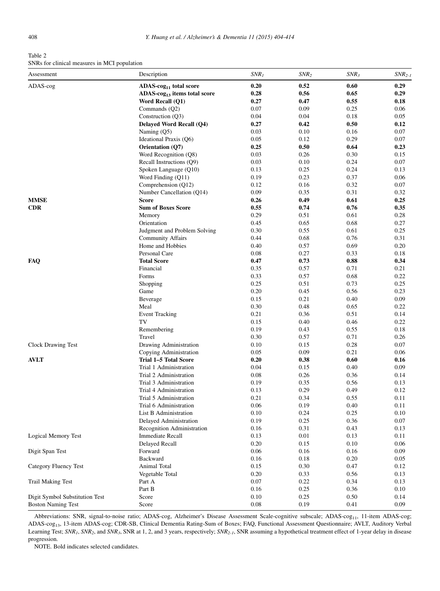<span id="page-4-0"></span>Table 2 SNRs for clinical measures in MCI population

| Assessment                     | Description                        | $SNR_I$      | $SNR_2$      | $SNR_3$      | $SNR_{2-I}$ |
|--------------------------------|------------------------------------|--------------|--------------|--------------|-------------|
| ADAS-cog                       | ADAS-cog <sub>11</sub> total score | 0.20         | 0.52         | 0.60         | 0.29        |
|                                | $ADAS-cog13$ items total score     | 0.28         | 0.56         | 0.65         | 0.29        |
|                                | Word Recall (Q1)                   | 0.27         | 0.47         | 0.55         | 0.18        |
|                                | Commands (Q2)                      | 0.07         | 0.09         | 0.25         | 0.06        |
|                                | Construction (Q3)                  | 0.04         | 0.04         | 0.18         | 0.05        |
|                                | Delayed Word Recall (Q4)           | 0.27         | 0.42         | 0.50         | 0.12        |
|                                | Naming $(Q5)$                      | 0.03         | 0.10         | 0.16         | 0.07        |
|                                | Ideational Praxis (Q6)             | 0.05         | 0.12         | 0.29         | 0.07        |
|                                | Orientation (Q7)                   | 0.25         | 0.50         | 0.64         | 0.23        |
|                                | Word Recognition (Q8)              | 0.03         | 0.26         | 0.30         | 0.15        |
|                                | Recall Instructions (Q9)           | 0.03         | 0.10         | 0.24         | 0.07        |
|                                | Spoken Language (Q10)              | 0.13         | 0.25         | 0.24         | 0.13        |
|                                | Word Finding (Q11)                 | 0.19         | 0.23         | 0.37         | 0.06        |
|                                | Comprehension (Q12)                | 0.12         | 0.16         | 0.32         | 0.07        |
|                                | Number Cancellation (Q14)          | 0.09         | 0.35         | 0.31         | 0.32        |
| <b>MMSE</b>                    | Score                              | 0.26         | 0.49         | 0.61         | 0.25        |
| <b>CDR</b>                     | <b>Sum of Boxes Score</b>          | 0.55         | 0.74         | 0.76         | 0.35        |
|                                | Memory                             | 0.29         | 0.51         | 0.61         | 0.28        |
|                                | Orientation                        | 0.45         | 0.65         | 0.68         | 0.27        |
|                                | Judgment and Problem Solving       | 0.30         | 0.55         | 0.61         | 0.25        |
|                                | <b>Community Affairs</b>           | 0.44         | 0.68         | 0.76         | 0.31        |
|                                | Home and Hobbies                   | 0.40         | 0.57         | 0.69         | 0.20        |
|                                | Personal Care                      | 0.08         | 0.27         | 0.33         | 0.18        |
| FAQ                            | <b>Total Score</b>                 | 0.47         | 0.73         | $\bf 0.88$   | 0.34        |
|                                | Financial                          | 0.35         | 0.57         | 0.71         | 0.21        |
|                                | Forms                              | 0.33         | 0.57         | 0.68         | 0.22        |
|                                | Shopping                           | 0.25         | 0.51         | 0.73         | 0.25        |
|                                | Game                               | 0.20         | 0.45         | 0.56         | 0.23        |
|                                | Beverage                           | 0.15         | 0.21         | 0.40         | 0.09        |
|                                | Meal                               | 0.30         | 0.48         | 0.65         | 0.22        |
|                                | <b>Event Tracking</b>              | 0.21         | 0.36         | 0.51         | 0.14        |
|                                | TV                                 | 0.15         | 0.40         | 0.46         | 0.22        |
|                                | Remembering                        | 0.19         | 0.43         | 0.55         | 0.18        |
|                                | Travel                             | 0.30         | 0.57         | 0.71         | 0.26        |
| Clock Drawing Test             | Drawing Administration             | 0.10         | 0.15         | 0.28         | 0.07        |
|                                | Copying Administration             | 0.05         | 0.09         | 0.21         | 0.06        |
| <b>AVLT</b>                    | Trial 1-5 Total Score              | 0.20         | 0.38         | 0.60         | 0.16        |
|                                | Trial 1 Administration             | 0.04         | 0.15         | 0.40         | 0.09        |
|                                | Trial 2 Administration             | 0.08         | 0.26         | 0.36         | 0.14        |
|                                | Trial 3 Administration             | 0.19         | 0.35         | 0.56         | 0.13        |
|                                | Trial 4 Administration             | 0.13         | 0.29         | 0.49         | 0.12        |
|                                | Trial 5 Administration             | 0.21         | 0.34         | 0.55         | 0.11        |
|                                | Trial 6 Administration             | 0.06         | 0.19         | 0.40         | 0.11        |
|                                | List B Administration              | 0.10         | 0.24         | 0.25         | 0.10        |
|                                | Delayed Administration             | 0.19         | 0.25         | 0.36         | 0.07        |
|                                | Recognition Administration         | 0.16         | 0.31         | 0.43         | 0.13        |
| <b>Logical Memory Test</b>     | <b>Immediate Recall</b>            | 0.13         | 0.01         | 0.13         | 0.11        |
|                                | Delayed Recall                     | 0.20         | 0.15         | 0.10         | 0.06        |
| Digit Span Test                | Forward                            | 0.06         | 0.16         | 0.16         | 0.09        |
|                                |                                    |              |              |              |             |
|                                | Backward<br><b>Animal Total</b>    | 0.16<br>0.15 | 0.18<br>0.30 | 0.20<br>0.47 | 0.05        |
| Category Fluency Test          |                                    |              |              |              | 0.12        |
|                                | Vegetable Total                    | 0.20         | 0.33         | 0.56         | 0.13        |
| <b>Trail Making Test</b>       | Part A                             | 0.07         | 0.22         | 0.34         | 0.13        |
|                                | Part B                             | 0.16         | 0.25         | 0.36         | 0.10        |
| Digit Symbol Substitution Test | Score                              | 0.10         | 0.25         | 0.50         | 0.14        |
| <b>Boston Naming Test</b>      | Score                              | 0.08         | 0.19         | 0.41         | 0.09        |

Abbreviations: SNR, signal-to-noise ratio; ADAS-cog, Alzheimer's Disease Assessment Scale-cognitive subscale; ADAS-cog<sub>11</sub>, 11-item ADAS-cog; ADAS-cog13, 13-item ADAS-cog; CDR-SB, Clinical Dementia Rating-Sum of Boxes; FAQ, Functional Assessment Questionnaire; AVLT, Auditory Verbal Learning Test;  $SNR_1$ ,  $SNR_2$ , and  $SNR_3$ , SNR at 1, 2, and 3 years, respectively;  $SNR_{2-1}$ , SNR assuming a hypothetical treatment effect of 1-year delay in disease progression.

NOTE. Bold indicates selected candidates.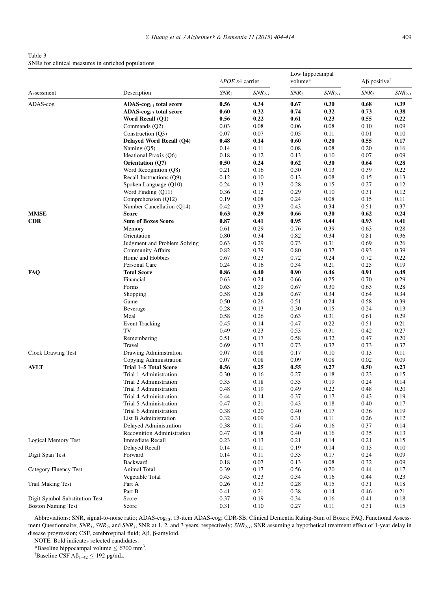<span id="page-5-0"></span>Table 3 SNRs for clinical measures in enriched populations

|                                |                                    | APOE e4 carrier  |             | Low hippocampal<br>volume* |             | $A\beta$ positive <sup>T</sup> |             |
|--------------------------------|------------------------------------|------------------|-------------|----------------------------|-------------|--------------------------------|-------------|
| Assessment                     | Description                        | SNR <sub>2</sub> | $SNR_{2-I}$ | $SNR_2$                    | $SNR_{2-I}$ | SNR <sub>2</sub>               | $SNR_{2-I}$ |
| ADAS-cog                       | ADAS-cog <sub>11</sub> total score | 0.56             | 0.34        | 0.67                       | 0.30        | 0.68                           | 0.39        |
|                                | ADAS-cog <sub>13</sub> total score | 0.60             | 0.32        | 0.74                       | 0.32        | 0.73                           | 0.38        |
|                                | Word Recall (Q1)                   | 0.56             | 0.22        | 0.61                       | 0.23        | 0.55                           | 0.22        |
|                                | Commands (Q2)                      | 0.03             | 0.08        | 0.06                       | 0.08        | 0.10                           | 0.09        |
|                                | Construction (Q3)                  | 0.07             | 0.07        | 0.05                       | 0.11        | 0.01                           | 0.10        |
|                                | Delayed Word Recall (Q4)           | 0.48             | 0.14        | 0.60                       | 0.20        | 0.55                           | 0.17        |
|                                | Naming $(Q5)$                      | 0.14             | 0.11        | 0.08                       | 0.08        | 0.20                           | 0.16        |
|                                | Ideational Praxis (Q6)             | 0.18             | 0.12        | 0.13                       | 0.10        | 0.07                           | 0.09        |
|                                | Orientation (Q7)                   | 0.50             | 0.24        | 0.62                       | 0.30        | 0.64                           | 0.28        |
|                                | Word Recognition (Q8)              | 0.21             | 0.16        | 0.30                       | 0.13        | 0.39                           | 0.22        |
|                                | Recall Instructions (O9)           | 0.12             | 0.10        | 0.13                       | 0.08        | 0.15                           | 0.13        |
|                                | Spoken Language (Q10)              | 0.24             | 0.13        | 0.28                       | 0.15        | 0.27                           | 0.12        |
|                                | Word Finding (Q11)                 | 0.36             | 0.12        | 0.29                       | 0.10        | 0.31                           | 0.12        |
|                                | Comprehension (Q12)                | 0.19             | 0.08        | 0.24                       | 0.08        | 0.15                           | 0.11        |
|                                | Number Cancellation (Q14)          | 0.42             | 0.33        | 0.43                       | 0.34        | 0.51                           | 0.37        |
| <b>MMSE</b>                    | <b>Score</b>                       | 0.63             | 0.29        | 0.66                       | 0.30        | 0.62                           | 0.24        |
| <b>CDR</b>                     | <b>Sum of Boxes Score</b>          | 0.87             | 0.41        | 0.95                       | 0.44        | 0.93                           | 0.41        |
|                                | Memory                             | 0.61             | 0.29        | 0.76                       | 0.39        | 0.63                           | 0.28        |
|                                | Orientation                        | 0.80             | 0.34        | 0.82                       | 0.34        | 0.81                           | 0.36        |
|                                | Judgment and Problem Solving       | 0.63             | 0.29        | 0.73                       | 0.31        | 0.69                           | 0.26        |
|                                | <b>Community Affairs</b>           | 0.82             | 0.39        | 0.80                       | 0.37        | 0.93                           | 0.39        |
|                                | Home and Hobbies                   | 0.67             | 0.23        | 0.72                       | 0.24        | 0.72                           | 0.22        |
|                                | Personal Care                      | 0.24             | 0.16        | 0.34                       | 0.21        | 0.25                           | 0.19        |
| <b>FAQ</b>                     | <b>Total Score</b>                 | 0.86             | 0.40        | 0.90                       | 0.46        | 0.91                           | 0.48        |
|                                | Financial                          | 0.63             | 0.24        | 0.66                       | 0.25        | 0.70                           | 0.29        |
|                                | Forms                              | 0.63             | 0.29        | 0.67                       | 0.30        | 0.63                           | 0.28        |
|                                | Shopping                           | 0.58             | 0.28        | 0.67                       | 0.34        | 0.64                           | 0.34        |
|                                | Game                               | 0.50             | 0.26        | 0.51                       | 0.24        | 0.58                           | 0.39        |
|                                | Beverage                           | 0.28             | 0.13        | 0.30                       | 0.15        | 0.24                           | 0.13        |
|                                | Meal                               | 0.58             | 0.26        | 0.63                       | 0.31        | 0.61                           | 0.29        |
|                                | <b>Event Tracking</b>              | 0.45             | 0.14        | 0.47                       | 0.22        | 0.51                           | 0.21        |
|                                | TV                                 | 0.49             | 0.23        | 0.53                       | 0.31        | 0.42                           | 0.27        |
|                                | Remembering                        | 0.51             | 0.17        | 0.58                       | 0.32        | 0.47                           | 0.20        |
|                                | Travel                             | 0.69             | 0.33        | 0.73                       | 0.37        | 0.73                           | 0.37        |
| <b>Clock Drawing Test</b>      | Drawing Administration             | 0.07             | 0.08        | 0.17                       | 0.10        | 0.13                           | 0.11        |
|                                | Copying Administration             | 0.07             | 0.08        | 0.09                       | 0.08        | 0.02                           | 0.09        |
| <b>AVLT</b>                    | Trial 1-5 Total Score              | 0.56             | 0.25        | 0.55                       | 0.27        | 0.50                           | 0.23        |
|                                | Trial 1 Administration             | 0.30             | 0.16        | 0.27                       | 0.18        | 0.23                           | 0.15        |
|                                | Trial 2 Administration             | 0.35             | 0.18        | 0.35                       | 0.19        | 0.24                           | 0.14        |
|                                | Trial 3 Administration             | 0.48             | 0.19        | 0.49                       | 0.22        | 0.48                           | 0.20        |
|                                | Trial 4 Administration             | 0.44             | 0.14        | 0.37                       | 0.17        | 0.43                           | 0.19        |
|                                | Trial 5 Administration             | 0.47             | 0.21        | 0.43                       | 0.18        | 0.40                           | 0.17        |
|                                | Trial 6 Administration             | 0.38             | 0.20        | 0.40                       | 0.17        | 0.36                           | 0.19        |
|                                | List B Administration              | 0.32             | 0.09        | 0.31                       | 0.11        | 0.26                           | 0.12        |
|                                | Delayed Administration             | 0.38             | 0.11        | 0.46                       | 0.16        | 0.37                           | 0.14        |
|                                | Recognition Administration         | 0.47             | 0.18        | 0.40                       | 0.16        | 0.35                           | 0.13        |
| Logical Memory Test            | <b>Immediate Recall</b>            | 0.23             | 0.13        | 0.21                       | 0.14        | 0.21                           | 0.15        |
|                                | Delayed Recall                     | 0.14             | 0.11        | 0.19                       | 0.14        | 0.13                           | 0.10        |
| Digit Span Test                | Forward                            | 0.14             | 0.11        | 0.33                       | 0.17        | 0.24                           | 0.09        |
|                                | Backward                           | 0.18             | 0.07        | 0.13                       | 0.08        | 0.32                           | 0.09        |
| <b>Category Fluency Test</b>   | Animal Total                       | 0.39             | 0.17        | 0.56                       | 0.20        | 0.44                           | 0.17        |
|                                | Vegetable Total                    | 0.45             | 0.23        | 0.34                       | 0.16        | 0.44                           | 0.23        |
| <b>Trail Making Test</b>       | Part A                             | 0.26             | 0.13        | 0.28                       | 0.15        | 0.31                           | 0.18        |
|                                | Part B                             | 0.41             | 0.21        | 0.38                       | 0.14        | 0.46                           | 0.21        |
| Digit Symbol Substitution Test | Score                              | 0.37             | 0.19        | 0.34                       | 0.16        | 0.41                           | 0.18        |
| <b>Boston Naming Test</b>      | Score                              | 0.31             | 0.10        | 0.27                       | 0.11        | 0.31                           | 0.15        |
|                                |                                    |                  |             |                            |             |                                |             |

Abbreviations: SNR, signal-to-noise ratio; ADAS-cog<sub>13</sub>, 13-item ADAS-cog; CDR-SB, Clinical Dementia Rating-Sum of Boxes; FAQ, Functional Assessment Questionnaire; SNR1, SNR2, and SNR3, SNR at 1, 2, and 3 years, respectively; SNR<sub>2-1</sub>, SNR assuming a hypothetical treatment effect of 1-year delay in disease progression; CSF, cerebrospinal fluid;  $A\beta$ ,  $\beta$ -amyloid.

NOTE. Bold indicates selected candidates.

\*Baseline hippocampal volume  $\leq 6700$  mm<sup>3</sup>.

<sup>†</sup>Baseline CSF A $\beta_{1-42} \le 192$  pg/mL.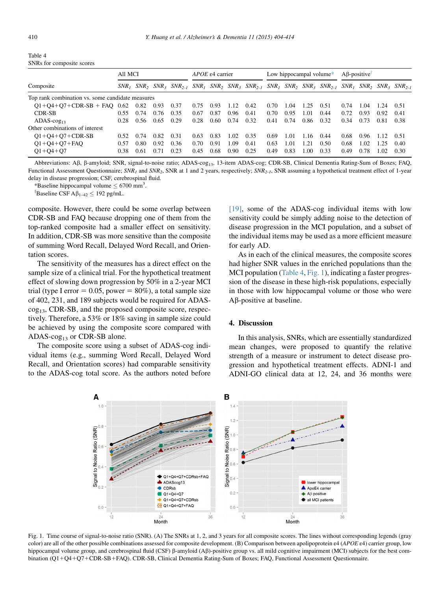<span id="page-6-0"></span>

| Table 4                   |  |
|---------------------------|--|
| SNRs for composite scores |  |

|                                                  | All MCI |      |      | $APOE$ $\varepsilon$ 4 carrier |      |      | Low hippocampal volume $*$ |      |      | $A\beta$ -positive |      |                                                                                                                                                     |      |      |      |      |
|--------------------------------------------------|---------|------|------|--------------------------------|------|------|----------------------------|------|------|--------------------|------|-----------------------------------------------------------------------------------------------------------------------------------------------------|------|------|------|------|
| Composite                                        |         |      |      |                                |      |      |                            |      |      |                    |      | $SNR_1$ $SNR_2$ $SNR_3$ $SNR_{2,1}$ $SNR_1$ $SNR_2$ $SNR_3$ $SNR_{2,1}$ $SNR_1$ $SNR_2$ $SNR_3$ $SNR_{2,1}$ $SNR_{2,1}$ $SNR_2$ $SNR_3$ $SNR_{2,1}$ |      |      |      |      |
| Top rank combination vs. some candidate measures |         |      |      |                                |      |      |                            |      |      |                    |      |                                                                                                                                                     |      |      |      |      |
| $Q1+Q4+Q7+CDR-SB + FAQ$ 0.62                     |         | 0.82 | 0.93 | 0.37                           | 0.75 | 0.93 | 1.12                       | 0.42 | 0.70 | 1.04               | 1.25 | 0.51                                                                                                                                                | 0.74 | 1.04 | -24  | 0.51 |
| CDR-SB                                           | 0.55    | 0.74 | 0.76 | 0.35                           | 0.67 | 0.87 | 0.96                       | 0.41 | 0.70 | 0.95               | 1.01 | 0.44                                                                                                                                                | 0.72 | 0.93 | 0.92 | 0.41 |
| $ADAS-cog13$                                     | 0.28    | 0.56 | 0.65 | 0.29                           | 0.28 | 0.60 | 0.74                       | 0.32 | 0.41 | 0.74               | 0.86 | 0.32                                                                                                                                                | 0.34 | 0.73 | 0.81 | 0.38 |
| Other combinations of interest                   |         |      |      |                                |      |      |                            |      |      |                    |      |                                                                                                                                                     |      |      |      |      |
| $Q1+Q4+Q7+CDR-SB$                                | 0.52    | 0.74 | 0.82 | 0.31                           | 0.63 | 0.83 | 1.02                       | 0.35 | 0.69 | 1.01               | 1.16 | 0.44                                                                                                                                                | 0.68 | 0.96 |      | 0.51 |
| $Q1 + Q4 + Q7 + FAQ$                             | 0.57    | 0.80 | 0.92 | 0.36                           | 0.70 | 0.91 | 1.09                       | 0.41 | 0.63 | 1.01               | 1.21 | 0.50                                                                                                                                                | 0.68 | 1.02 | 1.25 | 0.40 |
| $Q1 + Q4 + Q7$                                   | 0.38    | 0.61 | 0.71 | 0.23                           | 0.45 | 0.68 | 0.90                       | 0.25 | 0.49 | 0.83               | 1.00 | 0.33                                                                                                                                                | 0.49 | 0.78 | 1.02 | 0.30 |

Abbreviations: Aβ, β-amyloid; SNR, signal-to-noise ratio; ADAS-cog<sub>13</sub>, 13-item ADAS-cog; CDR-SB, Clinical Dementia Rating-Sum of Boxes; FAQ, Functional Assessment Questionnaire;  $SNR_1$  and  $SNR_2$ , SNR at 1 and 2 years, respectively;  $SNR_{2-1}$ , SNR assuming a hypothetical treatment effect of 1-year delay in disease progression; CSF, cerebrospinal fluid.

\*Baseline hippocampal volume  $\leq 6700$  mm<sup>3</sup>.

<sup>†</sup>Baseline CSF A $\beta_{1-42} \le 192$  pg/mL.

composite. However, there could be some overlap between CDR-SB and FAQ because dropping one of them from the top-ranked composite had a smaller effect on sensitivity. In addition, CDR-SB was more sensitive than the composite of summing Word Recall, Delayed Word Recall, and Orientation scores.

The sensitivity of the measures has a direct effect on the sample size of a clinical trial. For the hypothetical treatment effect of slowing down progression by 50% in a 2-year MCI trial (type I error =  $0.05$ , power =  $80\%$ ), a total sample size of 402, 231, and 189 subjects would be required for ADAS- $\cos_{13}$ , CDR-SB, and the proposed composite score, respectively. Therefore, a 53% or 18% saving in sample size could be achieved by using the composite score compared with ADAS- $\cos_{13}$  or CDR-SB alone.

The composite score using a subset of ADAS-cog individual items (e.g., summing Word Recall, Delayed Word Recall, and Orientation scores) had comparable sensitivity to the ADAS-cog total score. As the authors noted before [\[19\],](#page-10-0) some of the ADAS-cog individual items with low sensitivity could be simply adding noise to the detection of disease progression in the MCI population, and a subset of the individual items may be used as a more efficient measure for early AD.

As in each of the clinical measures, the composite scores had higher SNR values in the enriched populations than the MCI population (Table 4, Fig. 1), indicating a faster progression of the disease in these high-risk populations, especially in those with low hippocampal volume or those who were  $A\beta$ -positive at baseline.

# 4. Discussion

In this analysis, SNRs, which are essentially standardized mean changes, were proposed to quantify the relative strength of a measure or instrument to detect disease progression and hypothetical treatment effects. ADNI-1 and ADNI-GO clinical data at 12, 24, and 36 months were



Fig. 1. Time course of signal-to-noise ratio (SNR). (A) The SNRs at 1, 2, and 3 years for all composite scores. The lines without corresponding legends (gray color) are all of the other possible combinations assessed for composite development. (B) Comparison between apolipoprotein ε4 (APOE ε4) carrier group, low hippocampal volume group, and cerebrospinal fluid (CSF)  $\beta$ -amyloid (A $\beta$ )-positive group vs. all mild cognitive impairment (MCI) subjects for the best combination (Q1+Q4+Q7+CDR-SB+FAQ). CDR-SB, Clinical Dementia Rating-Sum of Boxes; FAQ, Functional Assessment Questionnaire.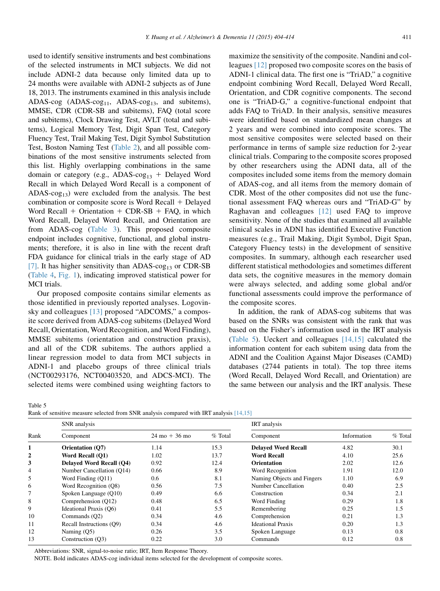<span id="page-7-0"></span>used to identify sensitive instruments and best combinations of the selected instruments in MCI subjects. We did not include ADNI-2 data because only limited data up to 24 months were available with ADNI-2 subjects as of June 18, 2013. The instruments examined in this analysis include ADAS-cog  $(ADAS-cog<sub>11</sub>, ADAS-cog<sub>13</sub>, and subitems),$ MMSE, CDR (CDR-SB and subitems), FAQ (total score and subitems), Clock Drawing Test, AVLT (total and subitems), Logical Memory Test, Digit Span Test, Category Fluency Test, Trail Making Test, Digit Symbol Substitution Test, Boston Naming Test [\(Table 2\)](#page-4-0), and all possible combinations of the most sensitive instruments selected from this list. Highly overlapping combinations in the same domain or category (e.g., ADAS- $\cos_{13}$  + Delayed Word Recall in which Delayed Word Recall is a component of ADAS- $cog<sub>13</sub>$ ) were excluded from the analysis. The best combination or composite score is Word Recall  $+$  Delayed Word Recall  $+$  Orientation  $+$  CDR-SB  $+$  FAQ, in which Word Recall, Delayed Word Recall, and Orientation are from ADAS-cog ([Table 3](#page-5-0)). This proposed composite endpoint includes cognitive, functional, and global instruments; therefore, it is also in line with the recent draft FDA guidance for clinical trials in the early stage of AD [\[7\].](#page-9-0) It has higher sensitivity than ADAS-cog<sub>13</sub> or CDR-SB [\(Table 4,](#page-6-0) [Fig. 1\)](#page-6-0), indicating improved statistical power for MCI trials.

Our proposed composite contains similar elements as those identified in previously reported analyses. Logovinsky and colleagues [\[13\]](#page-10-0) proposed "ADCOMS," a composite score derived from ADAS-cog subitems (Delayed Word Recall, Orientation, Word Recognition, and Word Finding), MMSE subitems (orientation and construction praxis), and all of the CDR subitems. The authors applied a linear regression model to data from MCI subjects in ADNI-1 and placebo groups of three clinical trials (NCT00293176, NCT00403520, and ADCS-MCI). The selected items were combined using weighting factors to maximize the sensitivity of the composite. Nandini and colleagues [\[12\]](#page-10-0) proposed two composite scores on the basis of ADNI-1 clinical data. The first one is "TriAD," a cognitive endpoint combining Word Recall, Delayed Word Recall, Orientation, and CDR cognitive components. The second one is "TriAD-G," a cognitive-functional endpoint that adds FAQ to TriAD. In their analysis, sensitive measures were identified based on standardized mean changes at 2 years and were combined into composite scores. The most sensitive composites were selected based on their performance in terms of sample size reduction for 2-year clinical trials. Comparing to the composite scores proposed by other researchers using the ADNI data, all of the composites included some items from the memory domain of ADAS-cog, and all items from the memory domain of CDR. Most of the other composites did not use the functional assessment FAQ whereas ours and "TriAD-G" by Raghavan and colleagues [\[12\]](#page-10-0) used FAQ to improve sensitivity. None of the studies that examined all available clinical scales in ADNI has identified Executive Function measures (e.g., Trail Making, Digit Symbol, Digit Span, Category Fluency tests) in the development of sensitive composites. In summary, although each researcher used different statistical methodologies and sometimes different data sets, the cognitive measures in the memory domain were always selected, and adding some global and/or functional assessments could improve the performance of the composite scores.

In addition, the rank of ADAS-cog subitems that was based on the SNRs was consistent with the rank that was based on the Fisher's information used in the IRT analysis (Table 5). Ueckert and colleagues [\[14,15\]](#page-10-0) calculated the information content for each subitem using data from the ADNI and the Coalition Against Major Diseases (CAMD) databases (2744 patients in total). The top three items (Word Recall, Delayed Word Recall, and Orientation) are the same between our analysis and the IRT analysis. These

Table 5

| Rank of sensitive measure selected from SNR analysis compared with IRT analysis [14,15] |  |
|-----------------------------------------------------------------------------------------|--|
|-----------------------------------------------------------------------------------------|--|

|                | SNR analysis              |                                 | IRT analysis |                            |             |           |  |  |
|----------------|---------------------------|---------------------------------|--------------|----------------------------|-------------|-----------|--|--|
| Rank           | Component                 | $24 \text{ mo} + 36 \text{ mo}$ | % Total      | Component                  | Information | $%$ Total |  |  |
| 1              | <b>Orientation</b> (O7)   | 1.14                            | 15.3         | <b>Delaved Word Recall</b> | 4.82        | 30.1      |  |  |
| $\mathbf 2$    | Word Recall (O1)          | 1.02                            | 13.7         | <b>Word Recall</b>         | 4.10        | 25.6      |  |  |
| 3              | Delaved Word Recall (O4)  | 0.92                            | 12.4         | <b>Orientation</b>         | 2.02        | 12.6      |  |  |
| $\overline{4}$ | Number Cancellation (O14) | 0.66                            | 8.9          | Word Recognition           | 1.91        | 12.0      |  |  |
| 5              | Word Finding (Q11)        | 0.6                             | 8.1          | Naming Objects and Fingers | 1.10        | 6.9       |  |  |
| 6              | Word Recognition (Q8)     | 0.56                            | 7.5          | <b>Number Cancellation</b> | 0.40        | 2.5       |  |  |
|                | Spoken Language (Q10)     | 0.49                            | 6.6          | Construction               | 0.34        | 2.1       |  |  |
| 8              | Comprehension (O12)       | 0.48                            | 6.5          | Word Finding               | 0.29        | 1.8       |  |  |
| 9              | Ideational Praxis (O6)    | 0.41                            | 5.5          | Remembering                | 0.25        | 1.5       |  |  |
| 10             | Commands (Q2)             | 0.34                            | 4.6          | Comprehension              | 0.21        | 1.3       |  |  |
| 11             | Recall Instructions (O9)  | 0.34                            | 4.6          | <b>Ideational Praxis</b>   | 0.20        | 1.3       |  |  |
| 12             | Naming $(05)$             | 0.26                            | 3.5          | Spoken Language            | 0.13        | 0.8       |  |  |
| 13             | Construction (O3)         | 0.22                            | 3.0          | Commands                   | 0.12        | 0.8       |  |  |

Abbreviations: SNR, signal-to-noise ratio; IRT, Item Response Theory.

NOTE. Bold indicates ADAS-cog individual items selected for the development of composite scores.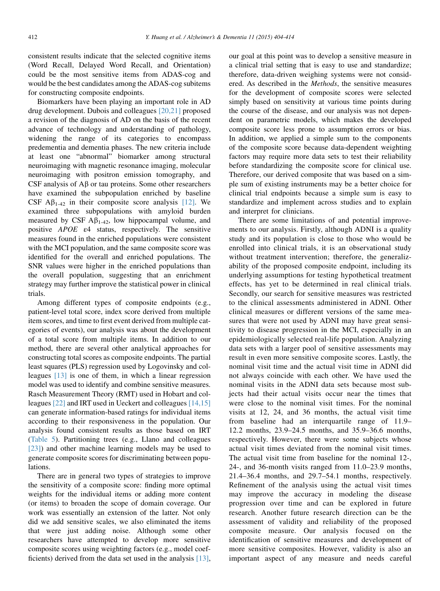consistent results indicate that the selected cognitive items (Word Recall, Delayed Word Recall, and Orientation) could be the most sensitive items from ADAS-cog and would be the best candidates among the ADAS-cog subitems for constructing composite endpoints.

Biomarkers have been playing an important role in AD drug development. Dubois and colleagues [\[20,21\]](#page-10-0) proposed a revision of the diagnosis of AD on the basis of the recent advance of technology and understanding of pathology, widening the range of its categories to encompass predementia and dementia phases. The new criteria include at least one "abnormal" biomarker among structural neuroimaging with magnetic resonance imaging, molecular neuroimaging with positron emission tomography, and CSF analysis of  $\overrightarrow{AB}$  or tau proteins. Some other researchers have examined the subpopulation enriched by baseline CSF  $\mathbf{A}\mathbf{\beta}_{1-42}$  in their composite score analysis [\[12\]](#page-10-0). We examined three subpopulations with amyloid burden measured by CSF  $\mathbf{A}\beta_{1-42}$ , low hippocampal volume, and positive APOE ε4 status, respectively. The sensitive measures found in the enriched populations were consistent with the MCI population, and the same composite score was identified for the overall and enriched populations. The SNR values were higher in the enriched populations than the overall population, suggesting that an enrichment strategy may further improve the statistical power in clinical trials.

Among different types of composite endpoints (e.g., patient-level total score, index score derived from multiple item scores, and time to first event derived from multiple categories of events), our analysis was about the development of a total score from multiple items. In addition to our method, there are several other analytical approaches for constructing total scores as composite endpoints. The partial least squares (PLS) regression used by Logovinsky and colleagues [\[13\]](#page-10-0) is one of them, in which a linear regression model was used to identify and combine sensitive measures. Rasch Measurement Theory (RMT) used in Hobart and colleagues [\[22\]](#page-10-0) and IRT used in Ueckert and colleagues [\[14,15\]](#page-10-0) can generate information-based ratings for individual items according to their responsiveness in the population. Our analysis found consistent results as those based on IRT [\(Table 5\)](#page-7-0). Partitioning trees (e.g., Llano and colleagues [\[23\]\)](#page-10-0) and other machine learning models may be used to generate composite scores for discriminating between populations.

There are in general two types of strategies to improve the sensitivity of a composite score: finding more optimal weights for the individual items or adding more content (or items) to broaden the scope of domain coverage. Our work was essentially an extension of the latter. Not only did we add sensitive scales, we also eliminated the items that were just adding noise. Although some other researchers have attempted to develop more sensitive composite scores using weighting factors (e.g., model coefficients) derived from the data set used in the analysis [\[13\],](#page-10-0) our goal at this point was to develop a sensitive measure in a clinical trial setting that is easy to use and standardize; therefore, data-driven weighing systems were not considered. As described in the Methods, the sensitive measures for the development of composite scores were selected simply based on sensitivity at various time points during the course of the disease, and our analysis was not dependent on parametric models, which makes the developed composite score less prone to assumption errors or bias. In addition, we applied a simple sum to the components of the composite score because data-dependent weighting factors may require more data sets to test their reliability before standardizing the composite score for clinical use. Therefore, our derived composite that was based on a simple sum of existing instruments may be a better choice for clinical trial endpoints because a simple sum is easy to standardize and implement across studies and to explain and interpret for clinicians.

There are some limitations of and potential improvements to our analysis. Firstly, although ADNI is a quality study and its population is close to those who would be enrolled into clinical trials, it is an observational study without treatment intervention; therefore, the generalizability of the proposed composite endpoint, including its underlying assumptions for testing hypothetical treatment effects, has yet to be determined in real clinical trials. Secondly, our search for sensitive measures was restricted to the clinical assessments administered in ADNI. Other clinical measures or different versions of the same measures that were not used by ADNI may have great sensitivity to disease progression in the MCI, especially in an epidemiologically selected real-life population. Analyzing data sets with a larger pool of sensitive assessments may result in even more sensitive composite scores. Lastly, the nominal visit time and the actual visit time in ADNI did not always coincide with each other. We have used the nominal visits in the ADNI data sets because most subjects had their actual visits occur near the times that were close to the nominal visit times. For the nominal visits at 12, 24, and 36 months, the actual visit time from baseline had an interquartile range of 11.9– 12.2 months, 23.9–24.5 months, and 35.9–36.6 months, respectively. However, there were some subjects whose actual visit times deviated from the nominal visit times. The actual visit time from baseline for the nominal 12-, 24-, and 36-month visits ranged from 11.0–23.9 months, 21.4–36.4 months, and 29.7–54.1 months, respectively. Refinement of the analysis using the actual visit times may improve the accuracy in modeling the disease progression over time and can be explored in future research. Another future research direction can be the assessment of validity and reliability of the proposed composite measure. Our analysis focused on the identification of sensitive measures and development of more sensitive composites. However, validity is also an important aspect of any measure and needs careful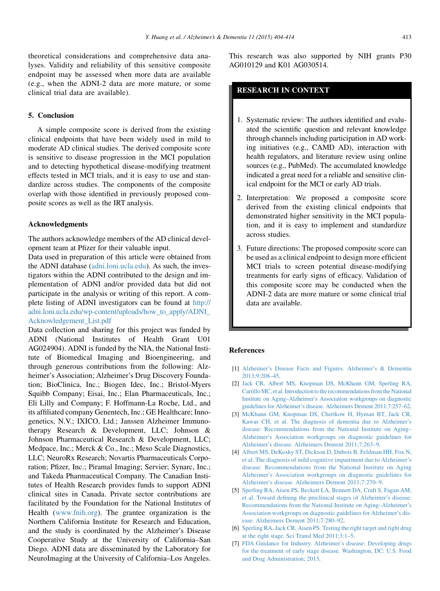<span id="page-9-0"></span>theoretical considerations and comprehensive data analyses. Validity and reliability of this sensitive composite endpoint may be assessed when more data are available (e.g., when the ADNI-2 data are more mature, or some clinical trial data are available).

# 5. Conclusion

A simple composite score is derived from the existing clinical endpoints that have been widely used in mild to moderate AD clinical studies. The derived composite score is sensitive to disease progression in the MCI population and to detecting hypothetical disease-modifying treatment effects tested in MCI trials, and it is easy to use and standardize across studies. The components of the composite overlap with those identified in previously proposed composite scores as well as the IRT analysis.

#### Acknowledgments

The authors acknowledge members of the AD clinical development team at Pfizer for their valuable input.

Data used in preparation of this article were obtained from the ADNI database ([adni.loni.ucla.edu](http://adni.loni.ucla.edu)). As such, the investigators within the ADNI contributed to the design and implementation of ADNI and/or provided data but did not participate in the analysis or writing of this report. A complete listing of ADNI investigators can be found at [http://](http://adni.loni.ucla.edu/wp-content/uploads/how_to_apply/ADNI_Acknowledgement_List.pdf) [adni.loni.ucla.edu/wp-content/uploads/how\\_to\\_apply/ADNI\\_](http://adni.loni.ucla.edu/wp-content/uploads/how_to_apply/ADNI_Acknowledgement_List.pdf) [Acknowledgement\\_List.pdf](http://adni.loni.ucla.edu/wp-content/uploads/how_to_apply/ADNI_Acknowledgement_List.pdf)

Data collection and sharing for this project was funded by ADNI (National Institutes of Health Grant U01 AG024904). ADNI is funded by the NIA, the National Institute of Biomedical Imaging and Bioengineering, and through generous contributions from the following: Alzheimer's Association; Alzheimer's Drug Discovery Foundation; BioClinica, Inc.; Biogen Idec, Inc.; Bristol-Myers Squibb Company; Eisai, Inc.; Elan Pharmaceuticals, Inc.; Eli Lilly and Company; F. Hoffmann-La Roche, Ltd., and its affiliated company Genentech, Inc.; GE Healthcare; Innogenetics, N.V.; IXICO, Ltd.; Janssen Alzheimer Immunotherapy Research & Development, LLC; Johnson & Johnson Pharmaceutical Research & Development, LLC; Medpace, Inc.; Merck & Co., Inc.; Meso Scale Diagnostics, LLC; NeuroRx Research; Novartis Pharmaceuticals Corporation; Pfizer, Inc.; Piramal Imaging; Servier; Synarc, Inc.; and Takeda Pharmaceutical Company. The Canadian Institutes of Health Research provides funds to support ADNI clinical sites in Canada. Private sector contributions are facilitated by the Foundation for the National Institutes of Health ([www.fnih.org\)](http://www.fnih.org). The grantee organization is the Northern California Institute for Research and Education, and the study is coordinated by the Alzheimer's Disease Cooperative Study at the University of California–San Diego. ADNI data are disseminated by the Laboratory for NeuroImaging at the University of California–Los Angeles.

This research was also supported by NIH grants P30 AG010129 and K01 AG030514.

# RESEARCH IN CONTEXT

- 1. Systematic review: The authors identified and evaluated the scientific question and relevant knowledge through channels including participation in AD working initiatives (e.g., CAMD AD), interaction with health regulators, and literature review using online sources (e.g., PubMed). The accumulated knowledge indicated a great need for a reliable and sensitive clinical endpoint for the MCI or early AD trials.
- 2. Interpretation: We proposed a composite score derived from the existing clinical endpoints that demonstrated higher sensitivity in the MCI population, and it is easy to implement and standardize across studies.
- 3. Future directions: The proposed composite score can be used as a clinical endpoint to design more efficient MCI trials to screen potential disease-modifying treatments for early signs of efficacy. Validation of this composite score may be conducted when the ADNI-2 data are more mature or some clinical trial data are available.

#### References

- [1] [Alzheimer's Disease Facts and Figures. Alzheimer's & Dementia](http://refhub.elsevier.com/S1552-5260(14)00114-9/sref1) [2013;9:208–45](http://refhub.elsevier.com/S1552-5260(14)00114-9/sref1).
- [2] [Jack CR, Albert MS, Knopman DS, McKhann GM, Sperling RA,](http://refhub.elsevier.com/S1552-5260(14)00114-9/sref2) Carrillo MC, et al. Introduction to the recommendations from the National [Institute on Aging–Alzheimer's Association workgroups on diagnostic](http://refhub.elsevier.com/S1552-5260(14)00114-9/sref2) [guidelines for Alzheimer's disease. Alzheimers Dement 2011;7:257–62](http://refhub.elsevier.com/S1552-5260(14)00114-9/sref2).
- [3] [McKhann GM, Knopman DS, Chertkow H, Hyman BT, Jack CR,](http://refhub.elsevier.com/S1552-5260(14)00114-9/sref3) [Kawas CH, et al. The diagnosis of dementia due to Alzheimer's](http://refhub.elsevier.com/S1552-5260(14)00114-9/sref3) [disease: Recommendations from the National Institute on Aging–](http://refhub.elsevier.com/S1552-5260(14)00114-9/sref3) [Alzheimer's Association workgroups on diagnostic guidelines for](http://refhub.elsevier.com/S1552-5260(14)00114-9/sref3) [Alzheimer's disease. Alzheimers Dement 2011;7:263–9](http://refhub.elsevier.com/S1552-5260(14)00114-9/sref3).
- [4] [Albert MS, DeKosky ST, Dickson D, Dubois B, Feldman HH, Fox N,](http://refhub.elsevier.com/S1552-5260(14)00114-9/sref4) [et al. The diagnosis of mild cognitive impairment due to Alzheimer's](http://refhub.elsevier.com/S1552-5260(14)00114-9/sref4) [disease: Recommendations from the National Institute on Aging](http://refhub.elsevier.com/S1552-5260(14)00114-9/sref4) [Alzheimer's Association workgroups on diagnostic guidelines for](http://refhub.elsevier.com/S1552-5260(14)00114-9/sref4) [Alzheimer's disease. Alzheimers Dement 2011;7:270–9](http://refhub.elsevier.com/S1552-5260(14)00114-9/sref4).
- [5] [Sperling RA, Aisen PS, Beckett LA, Bennett DA, Craft S, Fagan AM,](http://refhub.elsevier.com/S1552-5260(14)00114-9/sref5) [et al. Toward defining the preclinical stages of Alzheimer's disease:](http://refhub.elsevier.com/S1552-5260(14)00114-9/sref5) [Recommendations from the National Institute on Aging–Alzheimer's](http://refhub.elsevier.com/S1552-5260(14)00114-9/sref5) [Association workgroups on diagnostic guidelines for Alzheimer's dis](http://refhub.elsevier.com/S1552-5260(14)00114-9/sref5)[ease. Alzheimers Dement 2011;7:280–92.](http://refhub.elsevier.com/S1552-5260(14)00114-9/sref5)
- [6] [Sperling RA, Jack CR, Aisen PS. Testing the right target and right drug](http://refhub.elsevier.com/S1552-5260(14)00114-9/sref6) [at the right stage. Sci Transl Med 2011;3:1–5.](http://refhub.elsevier.com/S1552-5260(14)00114-9/sref6)
- [7] [FDA Guidance for Industry. Alzheimer's disease: Developing drugs](http://refhub.elsevier.com/S1552-5260(14)00114-9/sref7) [for the treatment of early stage disease. Washington, DC: U.S. Food](http://refhub.elsevier.com/S1552-5260(14)00114-9/sref7) [and Drug Administration; 2013](http://refhub.elsevier.com/S1552-5260(14)00114-9/sref7).